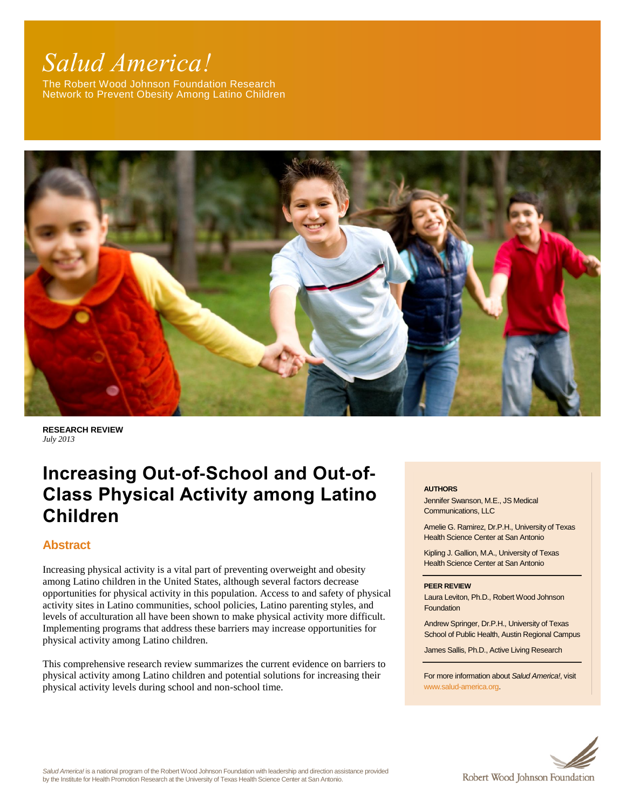# *Salud America!*

The Robert Wood Johnson Foundation Research Network to Prevent Obesity Among Latino Children



**RESEARCH REVIEW** *July 2013*

# **Increasing Out-of-School and Out-of-Class Physical Activity among Latino Children**

# **Abstract**

Increasing physical activity is a vital part of preventing overweight and obesity among Latino children in the United States, although several factors decrease opportunities for physical activity in this population. Access to and safety of physical activity sites in Latino communities, school policies, Latino parenting styles, and levels of acculturation all have been shown to make physical activity more difficult. Implementing programs that address these barriers may increase opportunities for physical activity among Latino children.

This comprehensive research review summarizes the current evidence on barriers to physical activity among Latino children and potential solutions for increasing their physical activity levels during school and non-school time.

#### **AUTHORS**

Jennifer Swanson, M.E., JS Medical Communications, LLC

Amelie G. Ramirez, Dr.P.H., University of Texas Health Science Center at San Antonio

Kipling J. Gallion, M.A., University of Texas Health Science Center at San Antonio

#### **PEER REVIEW**

Laura Leviton, Ph.D., Robert Wood Johnson **Foundation** 

Andrew Springer, Dr.P.H., University of Texas School of Public Health, Austin Regional Campus

James Sallis, Ph.D., Active Living Research

For more information about *Salud America!*, visit [www.salud-america.org.](http://www.salud-america.org/) 



*Salud America!* is a national program of the Robert Wood Johnson Foundation with leadership and direction assistance provided by the Institute for Health Promotion Research at the University of Texas Health Science Center at San Antonio.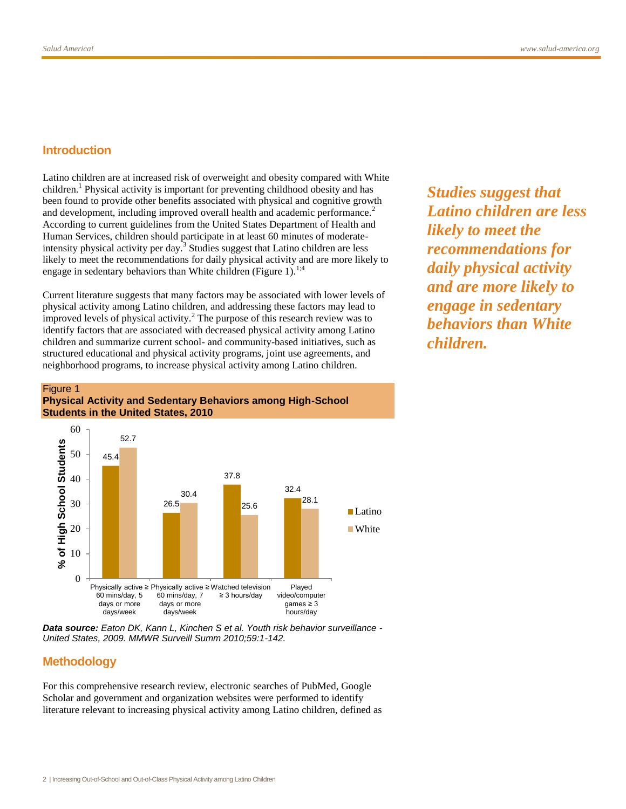#### **Introduction**

Latino children are at increased risk of overweight and obesity compared with White children.<sup>1</sup> Physical activity is important for preventing childhood obesity and has been found to provide other benefits associated with physical and cognitive growth and development, including improved overall health and academic performance.<sup>2</sup> According to current guidelines from the United States Department of Health and Human Services, children should participate in at least 60 minutes of moderateintensity physical activity per day.<sup>3</sup> Studies suggest that Latino children are less likely to meet the recommendations for daily physical activity and are more likely to engage in sedentary behaviors than White children (Figure 1).<sup>1;4</sup>

Current literature suggests that many factors may be associated with lower levels of physical activity among Latino children, and addressing these factors may lead to improved levels of physical activity.<sup>2</sup> The purpose of this research review was to identify factors that are associated with decreased physical activity among Latino children and summarize current school- and community-based initiatives, such as structured educational and physical activity programs, joint use agreements, and neighborhood programs, to increase physical activity among Latino children.

*Studies suggest that Latino children are less likely to meet the recommendations for daily physical activity and are more likely to engage in sedentary behaviors than White children.* 

#### Figure 1 **Physical Activity and Sedentary Behaviors among High-School Students in the United States, 2010**



*Data source: Eaton DK, Kann L, Kinchen S et al. Youth risk behavior surveillance - United States, 2009. MMWR Surveill Summ 2010;59:1-142.*

# **Methodology**

For this comprehensive research review, electronic searches of PubMed, Google Scholar and government and organization websites were performed to identify literature relevant to increasing physical activity among Latino children, defined as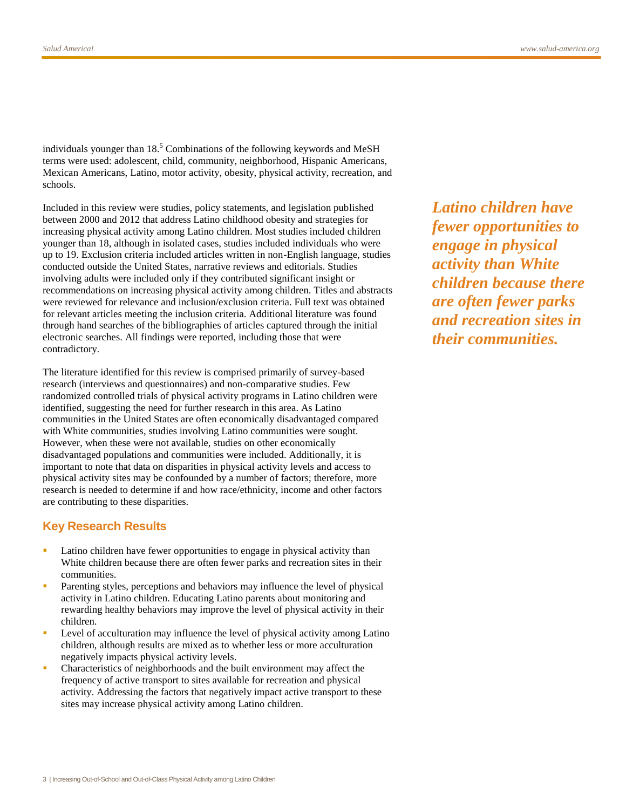individuals younger than  $18<sup>5</sup>$  Combinations of the following keywords and MeSH terms were used: adolescent, child, community, neighborhood, Hispanic Americans, Mexican Americans, Latino, motor activity, obesity, physical activity, recreation, and schools.

Included in this review were studies, policy statements, and legislation published between 2000 and 2012 that address Latino childhood obesity and strategies for increasing physical activity among Latino children. Most studies included children younger than 18, although in isolated cases, studies included individuals who were up to 19. Exclusion criteria included articles written in non-English language, studies conducted outside the United States, narrative reviews and editorials. Studies involving adults were included only if they contributed significant insight or recommendations on increasing physical activity among children. Titles and abstracts were reviewed for relevance and inclusion/exclusion criteria. Full text was obtained for relevant articles meeting the inclusion criteria. Additional literature was found through hand searches of the bibliographies of articles captured through the initial electronic searches. All findings were reported, including those that were contradictory.

The literature identified for this review is comprised primarily of survey-based research (interviews and questionnaires) and non-comparative studies. Few randomized controlled trials of physical activity programs in Latino children were identified, suggesting the need for further research in this area. As Latino communities in the United States are often economically disadvantaged compared with White communities, studies involving Latino communities were sought. However, when these were not available, studies on other economically disadvantaged populations and communities were included. Additionally, it is important to note that data on disparities in physical activity levels and access to physical activity sites may be confounded by a number of factors; therefore, more research is needed to determine if and how race/ethnicity, income and other factors are contributing to these disparities.

#### **Key Research Results**

- Latino children have fewer opportunities to engage in physical activity than White children because there are often fewer parks and recreation sites in their communities.
- Parenting styles, perceptions and behaviors may influence the level of physical activity in Latino children. Educating Latino parents about monitoring and rewarding healthy behaviors may improve the level of physical activity in their children.
- Level of acculturation may influence the level of physical activity among Latino children, although results are mixed as to whether less or more acculturation negatively impacts physical activity levels.
- Characteristics of neighborhoods and the built environment may affect the frequency of active transport to sites available for recreation and physical activity. Addressing the factors that negatively impact active transport to these sites may increase physical activity among Latino children.

*Latino children have fewer opportunities to engage in physical activity than White children because there are often fewer parks and recreation sites in their communities.*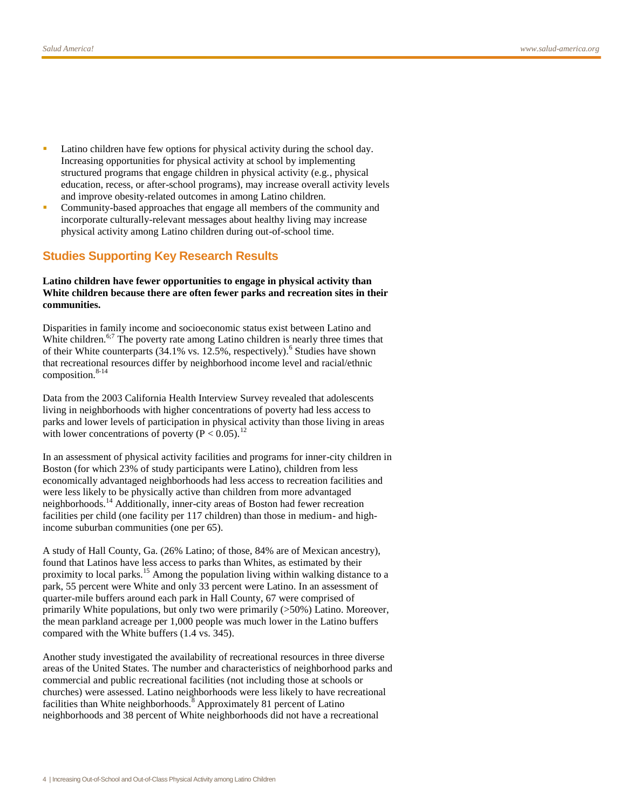- Latino children have few options for physical activity during the school day. Increasing opportunities for physical activity at school by implementing structured programs that engage children in physical activity (e.g., physical education, recess, or after-school programs), may increase overall activity levels and improve obesity-related outcomes in among Latino children.
- Community-based approaches that engage all members of the community and incorporate culturally-relevant messages about healthy living may increase physical activity among Latino children during out-of-school time.

### **Studies Supporting Key Research Results**

#### **Latino children have fewer opportunities to engage in physical activity than White children because there are often fewer parks and recreation sites in their communities.**

Disparities in family income and socioeconomic status exist between Latino and White children.<sup>6;7</sup> The poverty rate among Latino children is nearly three times that of their White counterparts  $(34.1\% \text{ vs. } 12.5\%$ , respectively).<sup>6</sup> Studies have shown that recreational resources differ by neighborhood income level and racial/ethnic composition. $8-14$ 

Data from the 2003 California Health Interview Survey revealed that adolescents living in neighborhoods with higher concentrations of poverty had less access to parks and lower levels of participation in physical activity than those living in areas with lower concentrations of poverty ( $P < 0.05$ ).<sup>12</sup>

In an assessment of physical activity facilities and programs for inner-city children in Boston (for which 23% of study participants were Latino), children from less economically advantaged neighborhoods had less access to recreation facilities and were less likely to be physically active than children from more advantaged neighborhoods.<sup>14</sup> Additionally, inner-city areas of Boston had fewer recreation facilities per child (one facility per 117 children) than those in medium- and highincome suburban communities (one per 65).

A study of Hall County, Ga. (26% Latino; of those, 84% are of Mexican ancestry), found that Latinos have less access to parks than Whites, as estimated by their proximity to local parks.<sup>15</sup> Among the population living within walking distance to a park, 55 percent were White and only 33 percent were Latino. In an assessment of quarter-mile buffers around each park in Hall County, 67 were comprised of primarily White populations, but only two were primarily (>50%) Latino. Moreover, the mean parkland acreage per 1,000 people was much lower in the Latino buffers compared with the White buffers (1.4 vs. 345).

Another study investigated the availability of recreational resources in three diverse areas of the United States. The number and characteristics of neighborhood parks and commercial and public recreational facilities (not including those at schools or churches) were assessed. Latino neighborhoods were less likely to have recreational facilities than White neighborhoods.<sup>8</sup> Approximately 81 percent of Latino neighborhoods and 38 percent of White neighborhoods did not have a recreational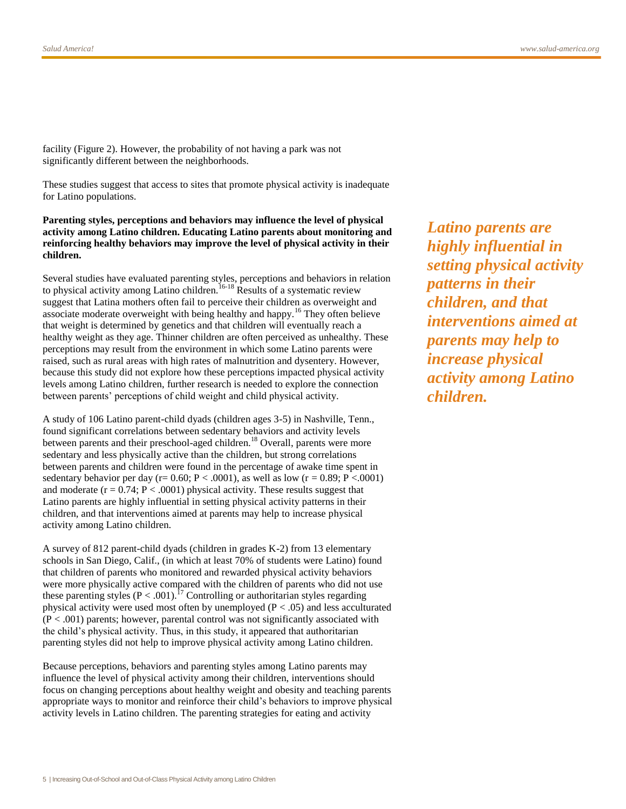facility (Figure 2). However, the probability of not having a park was not significantly different between the neighborhoods.

These studies suggest that access to sites that promote physical activity is inadequate for Latino populations.

**Parenting styles, perceptions and behaviors may influence the level of physical activity among Latino children. Educating Latino parents about monitoring and reinforcing healthy behaviors may improve the level of physical activity in their children.**

Several studies have evaluated parenting styles, perceptions and behaviors in relation to physical activity among Latino children.<sup>16-18</sup> Results of a systematic review suggest that Latina mothers often fail to perceive their children as overweight and associate moderate overweight with being healthy and happy.<sup>16</sup> They often believe that weight is determined by genetics and that children will eventually reach a healthy weight as they age. Thinner children are often perceived as unhealthy. These perceptions may result from the environment in which some Latino parents were raised, such as rural areas with high rates of malnutrition and dysentery. However, because this study did not explore how these perceptions impacted physical activity levels among Latino children, further research is needed to explore the connection between parents' perceptions of child weight and child physical activity.

A study of 106 Latino parent-child dyads (children ages 3-5) in Nashville, Tenn., found significant correlations between sedentary behaviors and activity levels between parents and their preschool-aged children.<sup>18</sup> Overall, parents were more sedentary and less physically active than the children, but strong correlations between parents and children were found in the percentage of awake time spent in sedentary behavior per day (r=  $0.60$ ; P <  $.0001$ ), as well as low (r =  $0.89$ ; P <  $.0001$ ) and moderate ( $r = 0.74$ ;  $P < .0001$ ) physical activity. These results suggest that Latino parents are highly influential in setting physical activity patterns in their children, and that interventions aimed at parents may help to increase physical activity among Latino children.

A survey of 812 parent-child dyads (children in grades K-2) from 13 elementary schools in San Diego, Calif., (in which at least 70% of students were Latino) found that children of parents who monitored and rewarded physical activity behaviors were more physically active compared with the children of parents who did not use these parenting styles  $(P < .001)$ .<sup>17</sup> Controlling or authoritarian styles regarding physical activity were used most often by unemployed  $(P < .05)$  and less acculturated (P < .001) parents; however, parental control was not significantly associated with the child's physical activity. Thus, in this study, it appeared that authoritarian parenting styles did not help to improve physical activity among Latino children.

Because perceptions, behaviors and parenting styles among Latino parents may influence the level of physical activity among their children, interventions should focus on changing perceptions about healthy weight and obesity and teaching parents appropriate ways to monitor and reinforce their child's behaviors to improve physical activity levels in Latino children. The parenting strategies for eating and activity

*Latino parents are highly influential in setting physical activity patterns in their children, and that interventions aimed at parents may help to increase physical activity among Latino children.*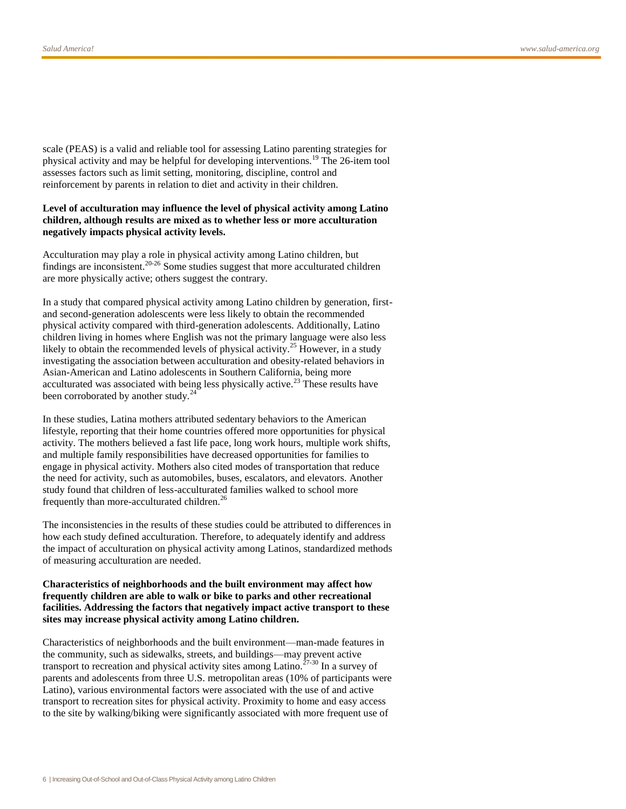scale (PEAS) is a valid and reliable tool for assessing Latino parenting strategies for physical activity and may be helpful for developing interventions.<sup>19</sup> The 26-item tool assesses factors such as limit setting, monitoring, discipline, control and reinforcement by parents in relation to diet and activity in their children.

#### **Level of acculturation may influence the level of physical activity among Latino children, although results are mixed as to whether less or more acculturation negatively impacts physical activity levels.**

Acculturation may play a role in physical activity among Latino children, but findings are inconsistent.<sup>20-26</sup> Some studies suggest that more acculturated children are more physically active; others suggest the contrary.

In a study that compared physical activity among Latino children by generation, firstand second-generation adolescents were less likely to obtain the recommended physical activity compared with third-generation adolescents. Additionally, Latino children living in homes where English was not the primary language were also less likely to obtain the recommended levels of physical activity.<sup>25</sup> However, in a study investigating the association between acculturation and obesity-related behaviors in Asian-American and Latino adolescents in Southern California, being more acculturated was associated with being less physically active.<sup>23</sup> These results have been corroborated by another study.<sup>24</sup>

In these studies, Latina mothers attributed sedentary behaviors to the American lifestyle, reporting that their home countries offered more opportunities for physical activity. The mothers believed a fast life pace, long work hours, multiple work shifts, and multiple family responsibilities have decreased opportunities for families to engage in physical activity. Mothers also cited modes of transportation that reduce the need for activity, such as automobiles, buses, escalators, and elevators. Another study found that children of less-acculturated families walked to school more frequently than more-acculturated children.<sup>26</sup>

The inconsistencies in the results of these studies could be attributed to differences in how each study defined acculturation. Therefore, to adequately identify and address the impact of acculturation on physical activity among Latinos, standardized methods of measuring acculturation are needed.

#### **Characteristics of neighborhoods and the built environment may affect how frequently children are able to walk or bike to parks and other recreational facilities. Addressing the factors that negatively impact active transport to these sites may increase physical activity among Latino children.**

Characteristics of neighborhoods and the built environment—man-made features in the community, such as sidewalks, streets, and buildings—may prevent active transport to recreation and physical activity sites among Latino.27-30 In a survey of parents and adolescents from three U.S. metropolitan areas (10% of participants were Latino), various environmental factors were associated with the use of and active transport to recreation sites for physical activity. Proximity to home and easy access to the site by walking/biking were significantly associated with more frequent use of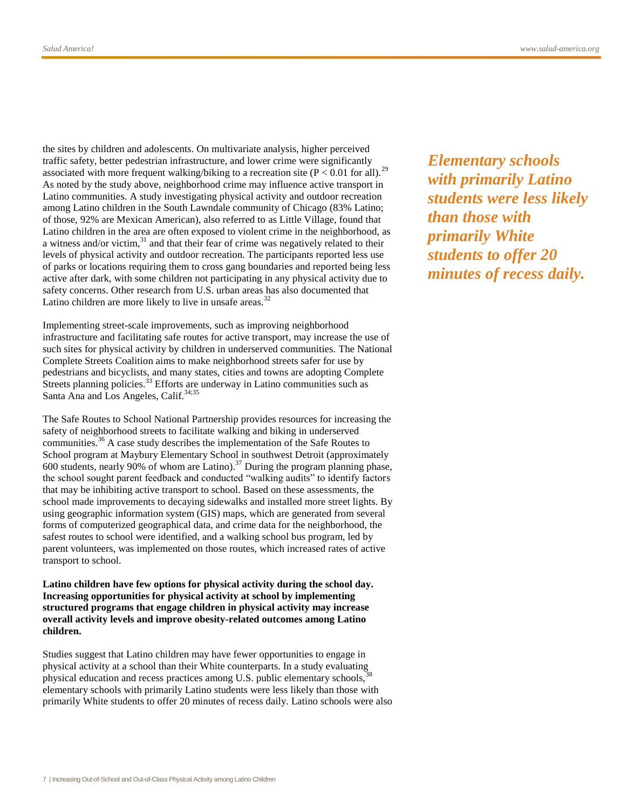the sites by children and adolescents. On multivariate analysis, higher perceived traffic safety, better pedestrian infrastructure, and lower crime were significantly associated with more frequent walking/biking to a recreation site ( $P < 0.01$  for all).<sup>29</sup> As noted by the study above, neighborhood crime may influence active transport in Latino communities. A study investigating physical activity and outdoor recreation among Latino children in the South Lawndale community of Chicago (83% Latino; of those, 92% are Mexican American), also referred to as Little Village, found that Latino children in the area are often exposed to violent crime in the neighborhood, as a witness and/or victim, $31$  and that their fear of crime was negatively related to their levels of physical activity and outdoor recreation. The participants reported less use of parks or locations requiring them to cross gang boundaries and reported being less active after dark, with some children not participating in any physical activity due to safety concerns. Other research from U.S. urban areas has also documented that Latino children are more likely to live in unsafe areas.<sup>32</sup>

Implementing street-scale improvements, such as improving neighborhood infrastructure and facilitating safe routes for active transport, may increase the use of such sites for physical activity by children in underserved communities. The National Complete Streets Coalition aims to make neighborhood streets safer for use by pedestrians and bicyclists, and many states, cities and towns are adopting Complete Streets planning policies.<sup>33</sup> Efforts are underway in Latino communities such as Santa Ana and Los Angeles, Calif.<sup>34;35</sup>

The Safe Routes to School National Partnership provides resources for increasing the safety of neighborhood streets to facilitate walking and biking in underserved communities.<sup>36</sup> A case study describes the implementation of the Safe Routes to School program at Maybury Elementary School in southwest Detroit (approximately 600 students, nearly 90% of whom are Latino).<sup>37</sup> During the program planning phase, the school sought parent feedback and conducted "walking audits" to identify factors that may be inhibiting active transport to school. Based on these assessments, the school made improvements to decaying sidewalks and installed more street lights. By using geographic information system (GIS) maps, which are generated from several forms of computerized geographical data, and crime data for the neighborhood, the safest routes to school were identified, and a walking school bus program, led by parent volunteers, was implemented on those routes, which increased rates of active transport to school.

**Latino children have few options for physical activity during the school day. Increasing opportunities for physical activity at school by implementing structured programs that engage children in physical activity may increase overall activity levels and improve obesity-related outcomes among Latino children.**

Studies suggest that Latino children may have fewer opportunities to engage in physical activity at a school than their White counterparts. In a study evaluating physical education and recess practices among U.S. public elementary schools, elementary schools with primarily Latino students were less likely than those with primarily White students to offer 20 minutes of recess daily. Latino schools were also *Elementary schools with primarily Latino students were less likely than those with primarily White students to offer 20 minutes of recess daily.*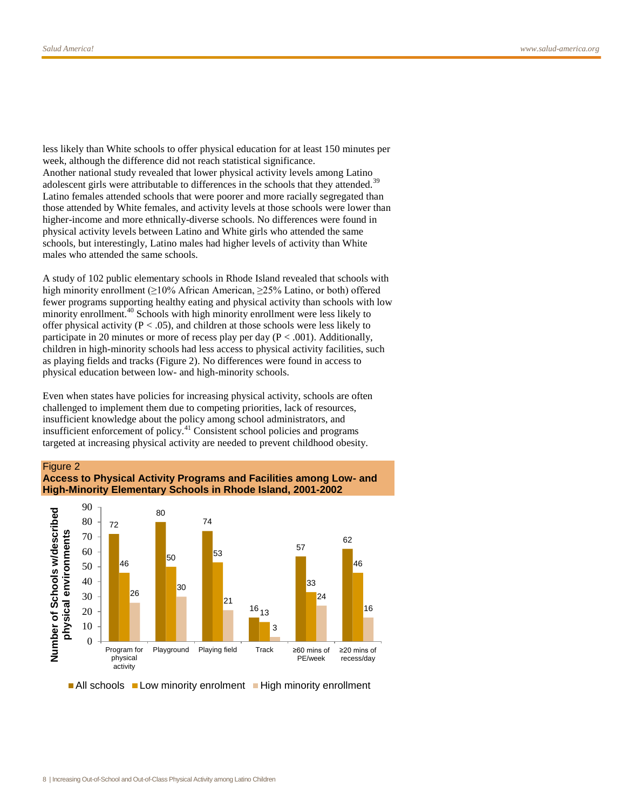less likely than White schools to offer physical education for at least 150 minutes per week, although the difference did not reach statistical significance. Another national study revealed that lower physical activity levels among Latino adolescent girls were attributable to differences in the schools that they attended.<sup>39</sup> Latino females attended schools that were poorer and more racially segregated than those attended by White females, and activity levels at those schools were lower than higher-income and more ethnically-diverse schools. No differences were found in physical activity levels between Latino and White girls who attended the same schools, but interestingly, Latino males had higher levels of activity than White males who attended the same schools.

A study of 102 public elementary schools in Rhode Island revealed that schools with high minority enrollment (≥10% African American, ≥25% Latino, or both) offered fewer programs supporting healthy eating and physical activity than schools with low minority enrollment.<sup>40</sup> Schools with high minority enrollment were less likely to offer physical activity ( $P < .05$ ), and children at those schools were less likely to participate in 20 minutes or more of recess play per day  $(P < .001)$ . Additionally, children in high-minority schools had less access to physical activity facilities, such as playing fields and tracks (Figure 2). No differences were found in access to physical education between low- and high-minority schools.

Even when states have policies for increasing physical activity, schools are often challenged to implement them due to competing priorities, lack of resources, insufficient knowledge about the policy among school administrators, and insufficient enforcement of policy.<sup>41</sup> Consistent school policies and programs targeted at increasing physical activity are needed to prevent childhood obesity.



 $\blacksquare$  All schools  $\blacksquare$  Low minority enrolment  $\blacksquare$  High minority enrollment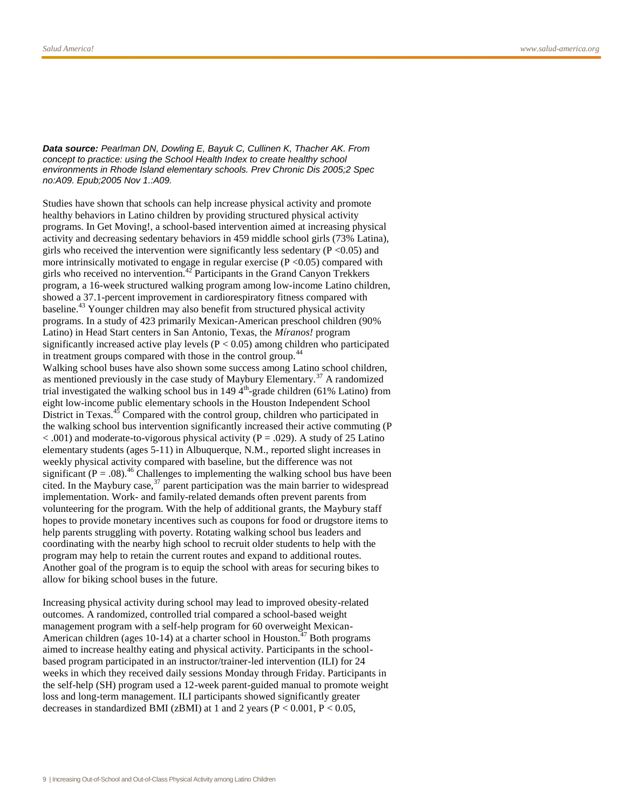*Data source: Pearlman DN, Dowling E, Bayuk C, Cullinen K, Thacher AK. From concept to practice: using the School Health Index to create healthy school environments in Rhode Island elementary schools. Prev Chronic Dis 2005;2 Spec no:A09. Epub;2005 Nov 1.:A09.*

Studies have shown that schools can help increase physical activity and promote healthy behaviors in Latino children by providing structured physical activity programs. In Get Moving!, a school-based intervention aimed at increasing physical activity and decreasing sedentary behaviors in 459 middle school girls (73% Latina), girls who received the intervention were significantly less sedentary ( $P \le 0.05$ ) and more intrinsically motivated to engage in regular exercise  $(P \le 0.05)$  compared with girls who received no intervention.<sup>42</sup> Participants in the Grand Canyon Trekkers program, a 16-week structured walking program among low-income Latino children, showed a 37.1-percent improvement in cardiorespiratory fitness compared with baseline.<sup>43</sup> Younger children may also benefit from structured physical activity programs. In a study of 423 primarily Mexican-American preschool children (90% Latino) in Head Start centers in San Antonio, Texas, the *Míranos!* program significantly increased active play levels ( $P < 0.05$ ) among children who participated in treatment groups compared with those in the control group.<sup>44</sup> Walking school buses have also shown some success among Latino school children, as mentioned previously in the case study of Maybury Elementary.<sup>37</sup> A randomized trial investigated the walking school bus in  $149 \frac{4}{\text{th}}$ -grade children (61% Latino) from eight low-income public elementary schools in the Houston Independent School District in Texas.<sup>45</sup> Compared with the control group, children who participated in the walking school bus intervention significantly increased their active commuting (P  $< .001$ ) and moderate-to-vigorous physical activity (P = .029). A study of 25 Latino elementary students (ages 5-11) in Albuquerque, N.M., reported slight increases in weekly physical activity compared with baseline, but the difference was not significant ( $P = .08$ ).<sup>46</sup> Challenges to implementing the walking school bus have been cited. In the Maybury case,  $37$  parent participation was the main barrier to widespread implementation. Work- and family-related demands often prevent parents from volunteering for the program. With the help of additional grants, the Maybury staff hopes to provide monetary incentives such as coupons for food or drugstore items to help parents struggling with poverty. Rotating walking school bus leaders and coordinating with the nearby high school to recruit older students to help with the program may help to retain the current routes and expand to additional routes. Another goal of the program is to equip the school with areas for securing bikes to allow for biking school buses in the future.

Increasing physical activity during school may lead to improved obesity-related outcomes. A randomized, controlled trial compared a school-based weight management program with a self-help program for 60 overweight Mexican-American children (ages 10-14) at a charter school in Houston.<sup>47</sup> Both programs aimed to increase healthy eating and physical activity. Participants in the schoolbased program participated in an instructor/trainer-led intervention (ILI) for 24 weeks in which they received daily sessions Monday through Friday. Participants in the self-help (SH) program used a 12-week parent-guided manual to promote weight loss and long-term management. ILI participants showed significantly greater decreases in standardized BMI (zBMI) at 1 and 2 years ( $P < 0.001$ ,  $P < 0.05$ ,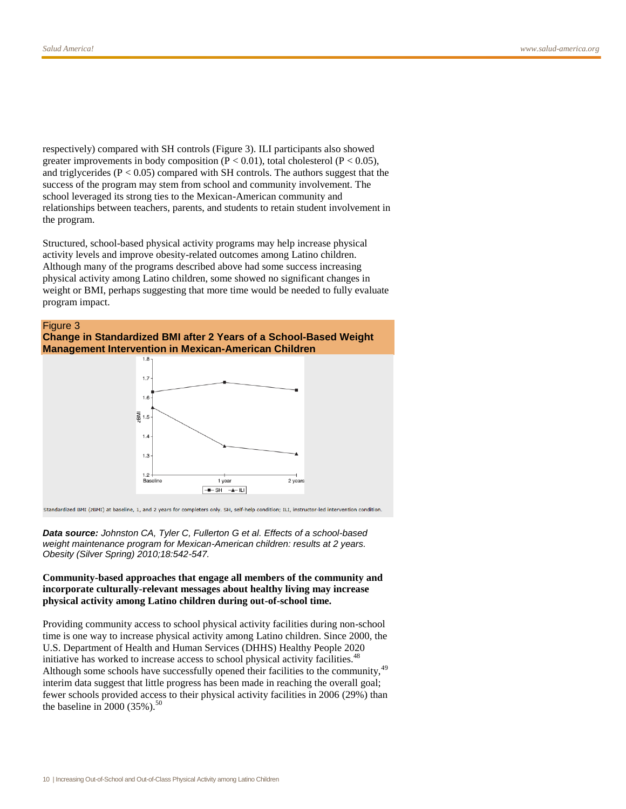respectively) compared with SH controls (Figure 3). ILI participants also showed greater improvements in body composition ( $P < 0.01$ ), total cholesterol ( $P < 0.05$ ), and triglycerides (P < 0.05) compared with SH controls. The authors suggest that the success of the program may stem from school and community involvement. The school leveraged its strong ties to the Mexican-American community and relationships between teachers, parents, and students to retain student involvement in the program.

Structured, school-based physical activity programs may help increase physical activity levels and improve obesity-related outcomes among Latino children. Although many of the programs described above had some success increasing physical activity among Latino children, some showed no significant changes in weight or BMI, perhaps suggesting that more time would be needed to fully evaluate program impact.



#### **Change in Standardized BMI after 2 Years of a School-Based Weight Management Intervention in Mexican-American Children**



Standardized BMI (zBMI) at baseline, 1, and 2 years for completers only. SH, self-help condition; ILI, instructor-led intervention condition.

*Data source: Johnston CA, Tyler C, Fullerton G et al. Effects of a school-based weight maintenance program for Mexican-American children: results at 2 years. Obesity (Silver Spring) 2010;18:542-547.*

#### **Community-based approaches that engage all members of the community and incorporate culturally-relevant messages about healthy living may increase physical activity among Latino children during out-of-school time.**

Providing community access to school physical activity facilities during non-school time is one way to increase physical activity among Latino children. Since 2000, the U.S. Department of Health and Human Services (DHHS) Healthy People 2020 initiative has worked to increase access to school physical activity facilities.<sup>48</sup> Although some schools have successfully opened their facilities to the community,<sup>49</sup> interim data suggest that little progress has been made in reaching the overall goal; fewer schools provided access to their physical activity facilities in 2006 (29%) than the baseline in 2000 (35%).<sup>50</sup>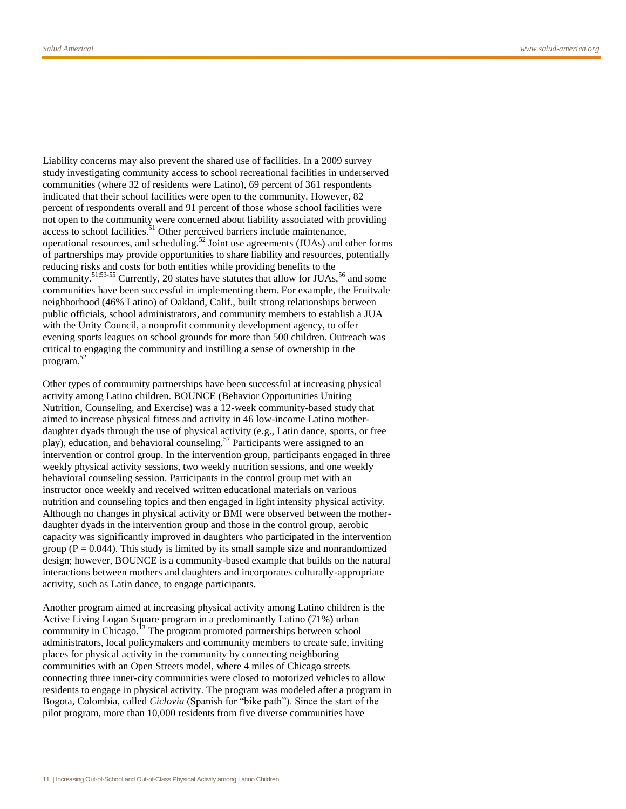Liability concerns may also prevent the shared use of facilities. In a 2009 survey study investigating community access to school recreational facilities in underserved communities (where 32 of residents were Latino), 69 percent of 361 respondents indicated that their school facilities were open to the community. However, 82 percent of respondents overall and 91 percent of those whose school facilities were not open to the community were concerned about liability associated with providing access to school facilities.<sup>51</sup> Other perceived barriers include maintenance, operational resources, and scheduling.<sup>52</sup> Joint use agreements (JUAs) and other forms of partnerships may provide opportunities to share liability and resources, potentially reducing risks and costs for both entities while providing benefits to the community.<sup>51;53-55</sup> Currently, 20 states have statutes that allow for JUAs,<sup>56</sup> and some communities have been successful in implementing them. For example, the Fruitvale neighborhood (46% Latino) of Oakland, Calif., built strong relationships between public officials, school administrators, and community members to establish a JUA with the Unity Council, a nonprofit community development agency, to offer evening sports leagues on school grounds for more than 500 children. Outreach was critical to engaging the community and instilling a sense of ownership in the program.<sup>52</sup>

Other types of community partnerships have been successful at increasing physical activity among Latino children. BOUNCE (Behavior Opportunities Uniting Nutrition, Counseling, and Exercise) was a 12-week community-based study that aimed to increase physical fitness and activity in 46 low-income Latino motherdaughter dyads through the use of physical activity (e.g., Latin dance, sports, or free play), education, and behavioral counseling.<sup>57</sup> Participants were assigned to an intervention or control group. In the intervention group, participants engaged in three weekly physical activity sessions, two weekly nutrition sessions, and one weekly behavioral counseling session. Participants in the control group met with an instructor once weekly and received written educational materials on various nutrition and counseling topics and then engaged in light intensity physical activity. Although no changes in physical activity or BMI were observed between the motherdaughter dyads in the intervention group and those in the control group, aerobic capacity was significantly improved in daughters who participated in the intervention group ( $P = 0.044$ ). This study is limited by its small sample size and nonrandomized design; however, BOUNCE is a community-based example that builds on the natural interactions between mothers and daughters and incorporates culturally-appropriate activity, such as Latin dance, to engage participants.

Another program aimed at increasing physical activity among Latino children is the Active Living Logan Square program in a predominantly Latino (71%) urban community in Chicago.<sup>13</sup> The program promoted partnerships between school administrators, local policymakers and community members to create safe, inviting places for physical activity in the community by connecting neighboring communities with an Open Streets model, where 4 miles of Chicago streets connecting three inner-city communities were closed to motorized vehicles to allow residents to engage in physical activity. The program was modeled after a program in Bogota, Colombia, called *Ciclovia* (Spanish for "bike path"). Since the start of the pilot program, more than 10,000 residents from five diverse communities have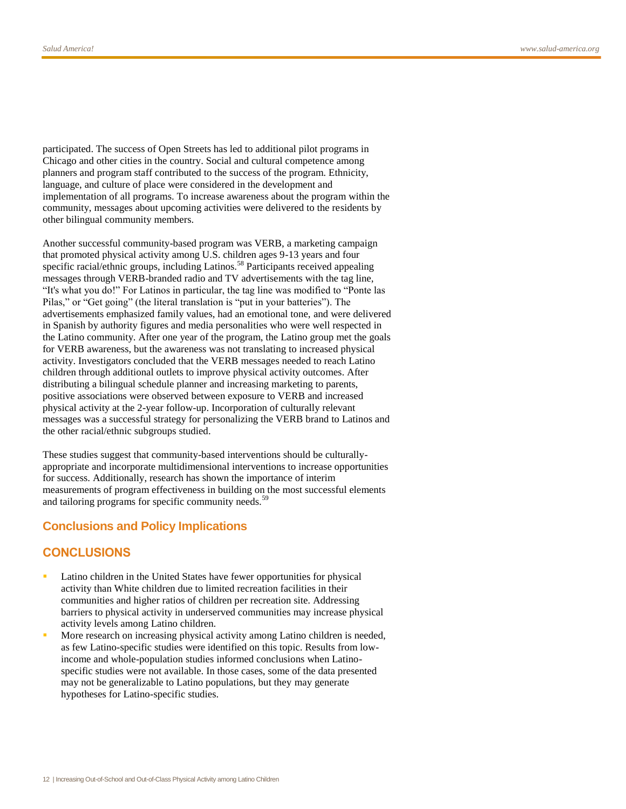participated. The success of Open Streets has led to additional pilot programs in Chicago and other cities in the country. Social and cultural competence among planners and program staff contributed to the success of the program. Ethnicity, language, and culture of place were considered in the development and implementation of all programs. To increase awareness about the program within the community, messages about upcoming activities were delivered to the residents by other bilingual community members.

Another successful community-based program was VERB, a marketing campaign that promoted physical activity among U.S. children ages 9-13 years and four specific racial/ethnic groups, including Latinos.<sup>58</sup> Participants received appealing messages through VERB-branded radio and TV advertisements with the tag line, "It's what you do!" For Latinos in particular, the tag line was modified to "Ponte las Pilas," or "Get going" (the literal translation is "put in your batteries"). The advertisements emphasized family values, had an emotional tone, and were delivered in Spanish by authority figures and media personalities who were well respected in the Latino community. After one year of the program, the Latino group met the goals for VERB awareness, but the awareness was not translating to increased physical activity. Investigators concluded that the VERB messages needed to reach Latino children through additional outlets to improve physical activity outcomes. After distributing a bilingual schedule planner and increasing marketing to parents, positive associations were observed between exposure to VERB and increased physical activity at the 2-year follow-up. Incorporation of culturally relevant messages was a successful strategy for personalizing the VERB brand to Latinos and the other racial/ethnic subgroups studied.

These studies suggest that community-based interventions should be culturallyappropriate and incorporate multidimensional interventions to increase opportunities for success. Additionally, research has shown the importance of interim measurements of program effectiveness in building on the most successful elements and tailoring programs for specific community needs.<sup>59</sup>

## **Conclusions and Policy Implications**

#### **CONCLUSIONS**

- Latino children in the United States have fewer opportunities for physical activity than White children due to limited recreation facilities in their communities and higher ratios of children per recreation site. Addressing barriers to physical activity in underserved communities may increase physical activity levels among Latino children.
- More research on increasing physical activity among Latino children is needed, as few Latino-specific studies were identified on this topic. Results from lowincome and whole-population studies informed conclusions when Latinospecific studies were not available. In those cases, some of the data presented may not be generalizable to Latino populations, but they may generate hypotheses for Latino-specific studies.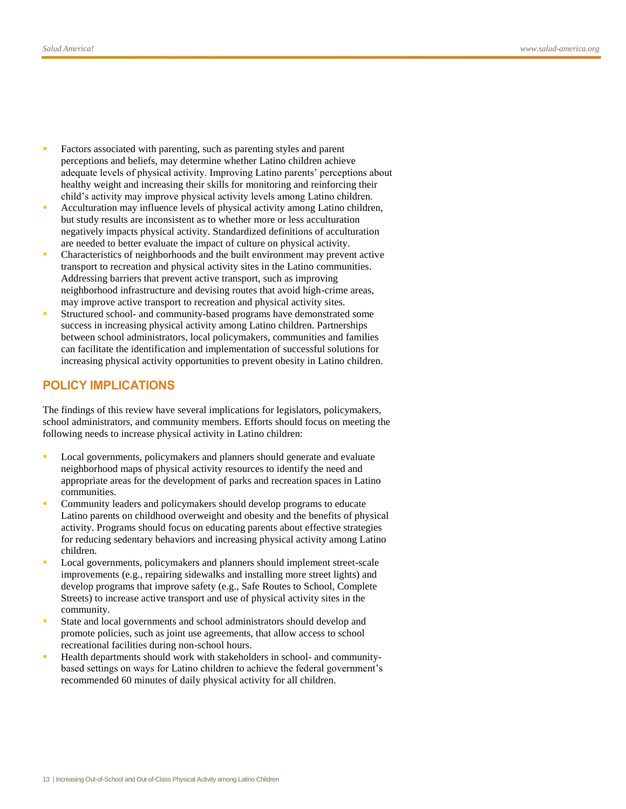- Factors associated with parenting, such as parenting styles and parent perceptions and beliefs, may determine whether Latino children achieve adequate levels of physical activity. Improving Latino parents' perceptions about healthy weight and increasing their skills for monitoring and reinforcing their child's activity may improve physical activity levels among Latino children.
- Acculturation may influence levels of physical activity among Latino children, but study results are inconsistent as to whether more or less acculturation negatively impacts physical activity. Standardized definitions of acculturation are needed to better evaluate the impact of culture on physical activity.
- Characteristics of neighborhoods and the built environment may prevent active transport to recreation and physical activity sites in the Latino communities. Addressing barriers that prevent active transport, such as improving neighborhood infrastructure and devising routes that avoid high-crime areas, may improve active transport to recreation and physical activity sites.
- Structured school- and community-based programs have demonstrated some success in increasing physical activity among Latino children. Partnerships between school administrators, local policymakers, communities and families can facilitate the identification and implementation of successful solutions for increasing physical activity opportunities to prevent obesity in Latino children.

#### **POLICY IMPLICATIONS**

The findings of this review have several implications for legislators, policymakers, school administrators, and community members. Efforts should focus on meeting the following needs to increase physical activity in Latino children:

- Local governments, policymakers and planners should generate and evaluate neighborhood maps of physical activity resources to identify the need and appropriate areas for the development of parks and recreation spaces in Latino communities.
- Community leaders and policymakers should develop programs to educate Latino parents on childhood overweight and obesity and the benefits of physical activity. Programs should focus on educating parents about effective strategies for reducing sedentary behaviors and increasing physical activity among Latino children.
- Local governments, policymakers and planners should implement street-scale improvements (e.g., repairing sidewalks and installing more street lights) and develop programs that improve safety (e.g., Safe Routes to School, Complete Streets) to increase active transport and use of physical activity sites in the community.
- State and local governments and school administrators should develop and promote policies, such as joint use agreements, that allow access to school recreational facilities during non-school hours.
- Health departments should work with stakeholders in school- and communitybased settings on ways for Latino children to achieve the federal government's recommended 60 minutes of daily physical activity for all children.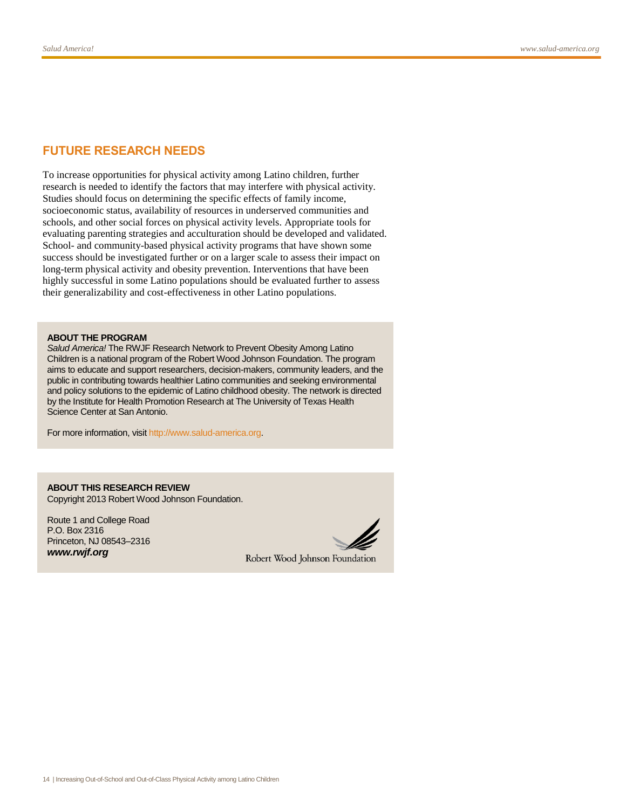### **FUTURE RESEARCH NEEDS**

To increase opportunities for physical activity among Latino children, further research is needed to identify the factors that may interfere with physical activity. Studies should focus on determining the specific effects of family income, socioeconomic status, availability of resources in underserved communities and schools, and other social forces on physical activity levels. Appropriate tools for evaluating parenting strategies and acculturation should be developed and validated. School- and community-based physical activity programs that have shown some success should be investigated further or on a larger scale to assess their impact on long-term physical activity and obesity prevention. Interventions that have been highly successful in some Latino populations should be evaluated further to assess their generalizability and cost-effectiveness in other Latino populations.

#### **ABOUT THE PROGRAM**

*Salud America!* The RWJF Research Network to Prevent Obesity Among Latino Children is a national program of the Robert Wood Johnson Foundation. The program aims to educate and support researchers, decision-makers, community leaders, and the public in contributing towards healthier Latino communities and seeking environmental and policy solutions to the epidemic of Latino childhood obesity. The network is directed by the Institute for Health Promotion Research at The University of Texas Health Science Center at San Antonio.

For more information, visi[t http://www.salud-america.org.](http://www.salud-america.org/)

**ABOUT THIS RESEARCH REVIEW** Copyright 2013 Robert Wood Johnson Foundation.

Route 1 and College Road P.O. Box 2316 Princeton, NJ 08543–2316 *www.rwjf.org*



Robert Wood Johnson Foundation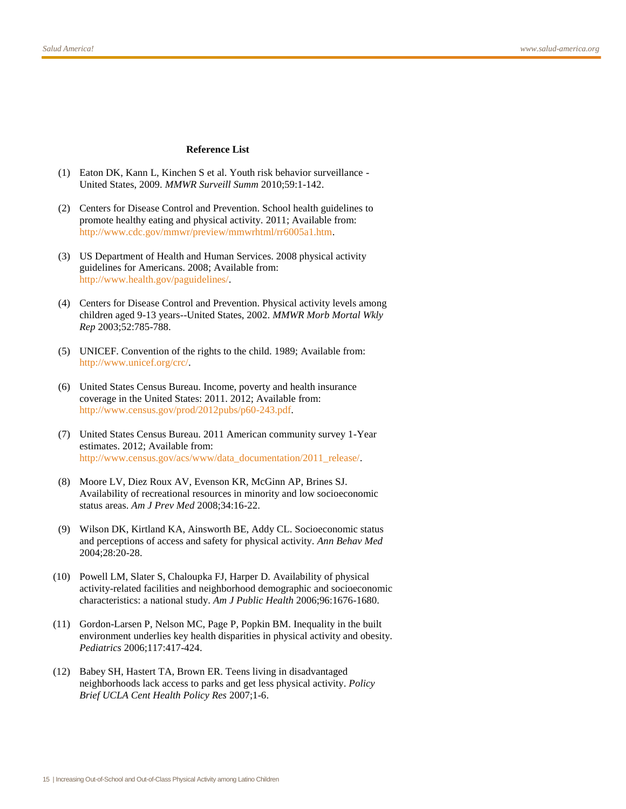#### **Reference List**

- (1) Eaton DK, Kann L, Kinchen S et al. Youth risk behavior surveillance United States, 2009. *MMWR Surveill Summ* 2010;59:1-142.
- (2) Centers for Disease Control and Prevention. School health guidelines to promote healthy eating and physical activity. 2011; Available from: [http://www.cdc.gov/mmwr/preview/mmwrhtml/rr6005a1.htm.](http://www.cdc.gov/mmwr/preview/mmwrhtml/rr6005a1.htm)
- (3) US Department of Health and Human Services. 2008 physical activity guidelines for Americans. 2008; Available from: [http://www.health.gov/paguidelines/.](http://www.health.gov/paguidelines/)
- (4) Centers for Disease Control and Prevention. Physical activity levels among children aged 9-13 years--United States, 2002. *MMWR Morb Mortal Wkly Rep* 2003;52:785-788.
- (5) UNICEF. Convention of the rights to the child. 1989; Available from: [http://www.unicef.org/crc/.](http://www.unicef.org/crc/)
- (6) United States Census Bureau. Income, poverty and health insurance coverage in the United States: 2011. 2012; Available from: [http://www.census.gov/prod/2012pubs/p60-243.pdf.](http://www.census.gov/prod/2012pubs/p60-243.pdf)
- (7) United States Census Bureau. 2011 American community survey 1-Year estimates. 2012; Available from: [http://www.census.gov/acs/www/data\\_documentation/2011\\_release/.](http://www.census.gov/acs/www/data_documentation/2011_release/)
- (8) Moore LV, Diez Roux AV, Evenson KR, McGinn AP, Brines SJ. Availability of recreational resources in minority and low socioeconomic status areas. *Am J Prev Med* 2008;34:16-22.
- (9) Wilson DK, Kirtland KA, Ainsworth BE, Addy CL. Socioeconomic status and perceptions of access and safety for physical activity. *Ann Behav Med* 2004;28:20-28.
- (10) Powell LM, Slater S, Chaloupka FJ, Harper D. Availability of physical activity-related facilities and neighborhood demographic and socioeconomic characteristics: a national study. *Am J Public Health* 2006;96:1676-1680.
- (11) Gordon-Larsen P, Nelson MC, Page P, Popkin BM. Inequality in the built environment underlies key health disparities in physical activity and obesity. *Pediatrics* 2006;117:417-424.
- (12) Babey SH, Hastert TA, Brown ER. Teens living in disadvantaged neighborhoods lack access to parks and get less physical activity. *Policy Brief UCLA Cent Health Policy Res* 2007;1-6.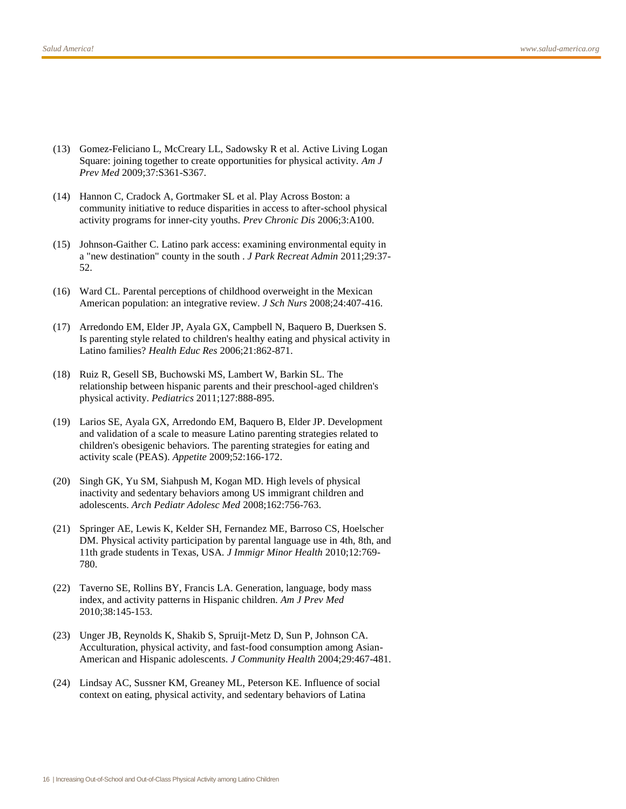- (13) Gomez-Feliciano L, McCreary LL, Sadowsky R et al. Active Living Logan Square: joining together to create opportunities for physical activity. *Am J Prev Med* 2009;37:S361-S367.
- (14) Hannon C, Cradock A, Gortmaker SL et al. Play Across Boston: a community initiative to reduce disparities in access to after-school physical activity programs for inner-city youths. *Prev Chronic Dis* 2006;3:A100.
- (15) Johnson-Gaither C. Latino park access: examining environmental equity in a "new destination" county in the south . *J Park Recreat Admin* 2011;29:37- 52.
- (16) Ward CL. Parental perceptions of childhood overweight in the Mexican American population: an integrative review. *J Sch Nurs* 2008;24:407-416.
- (17) Arredondo EM, Elder JP, Ayala GX, Campbell N, Baquero B, Duerksen S. Is parenting style related to children's healthy eating and physical activity in Latino families? *Health Educ Res* 2006;21:862-871.
- (18) Ruiz R, Gesell SB, Buchowski MS, Lambert W, Barkin SL. The relationship between hispanic parents and their preschool-aged children's physical activity. *Pediatrics* 2011;127:888-895.
- (19) Larios SE, Ayala GX, Arredondo EM, Baquero B, Elder JP. Development and validation of a scale to measure Latino parenting strategies related to children's obesigenic behaviors. The parenting strategies for eating and activity scale (PEAS). *Appetite* 2009;52:166-172.
- (20) Singh GK, Yu SM, Siahpush M, Kogan MD. High levels of physical inactivity and sedentary behaviors among US immigrant children and adolescents. *Arch Pediatr Adolesc Med* 2008;162:756-763.
- (21) Springer AE, Lewis K, Kelder SH, Fernandez ME, Barroso CS, Hoelscher DM. Physical activity participation by parental language use in 4th, 8th, and 11th grade students in Texas, USA. *J Immigr Minor Health* 2010;12:769- 780.
- (22) Taverno SE, Rollins BY, Francis LA. Generation, language, body mass index, and activity patterns in Hispanic children. *Am J Prev Med* 2010;38:145-153.
- (23) Unger JB, Reynolds K, Shakib S, Spruijt-Metz D, Sun P, Johnson CA. Acculturation, physical activity, and fast-food consumption among Asian-American and Hispanic adolescents. *J Community Health* 2004;29:467-481.
- (24) Lindsay AC, Sussner KM, Greaney ML, Peterson KE. Influence of social context on eating, physical activity, and sedentary behaviors of Latina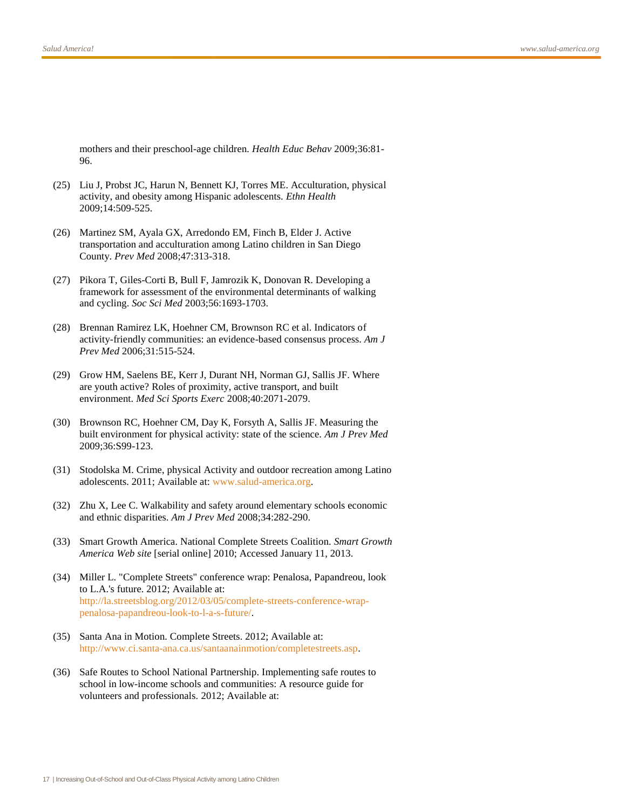mothers and their preschool-age children. *Health Educ Behav* 2009;36:81- 96.

- (25) Liu J, Probst JC, Harun N, Bennett KJ, Torres ME. Acculturation, physical activity, and obesity among Hispanic adolescents. *Ethn Health* 2009;14:509-525.
- (26) Martinez SM, Ayala GX, Arredondo EM, Finch B, Elder J. Active transportation and acculturation among Latino children in San Diego County. *Prev Med* 2008;47:313-318.
- (27) Pikora T, Giles-Corti B, Bull F, Jamrozik K, Donovan R. Developing a framework for assessment of the environmental determinants of walking and cycling. *Soc Sci Med* 2003;56:1693-1703.
- (28) Brennan Ramirez LK, Hoehner CM, Brownson RC et al. Indicators of activity-friendly communities: an evidence-based consensus process. *Am J Prev Med* 2006;31:515-524.
- (29) Grow HM, Saelens BE, Kerr J, Durant NH, Norman GJ, Sallis JF. Where are youth active? Roles of proximity, active transport, and built environment. *Med Sci Sports Exerc* 2008;40:2071-2079.
- (30) Brownson RC, Hoehner CM, Day K, Forsyth A, Sallis JF. Measuring the built environment for physical activity: state of the science. *Am J Prev Med* 2009;36:S99-123.
- (31) Stodolska M. Crime, physical Activity and outdoor recreation among Latino adolescents. 2011; Available at: [www.salud-america.org.](www.salud-america.org)
- (32) Zhu X, Lee C. Walkability and safety around elementary schools economic and ethnic disparities. *Am J Prev Med* 2008;34:282-290.
- (33) Smart Growth America. National Complete Streets Coalition. *Smart Growth America Web site* [serial online] 2010; Accessed January 11, 2013.
- (34) Miller L. "Complete Streets" conference wrap: Penalosa, Papandreou, look to L.A.'s future. 2012; Available at: [http://la.streetsblog.org/2012/03/05/complete-streets-conference-wrap](http://la.streetsblog.org/2012/03/05/complete-streets-conference-wrap-penalosa-papandreou-look-to-l-a-s-future/)[penalosa-papandreou-look-to-l-a-s-future/.](http://la.streetsblog.org/2012/03/05/complete-streets-conference-wrap-penalosa-papandreou-look-to-l-a-s-future/)
- (35) Santa Ana in Motion. Complete Streets. 2012; Available at: [http://www.ci.santa-ana.ca.us/santaanainmotion/completestreets.asp.](http://www.ci.santa-ana.ca.us/santaanainmotion/completestreets.asp)
- (36) Safe Routes to School National Partnership. Implementing safe routes to school in low-income schools and communities: A resource guide for volunteers and professionals. 2012; Available at: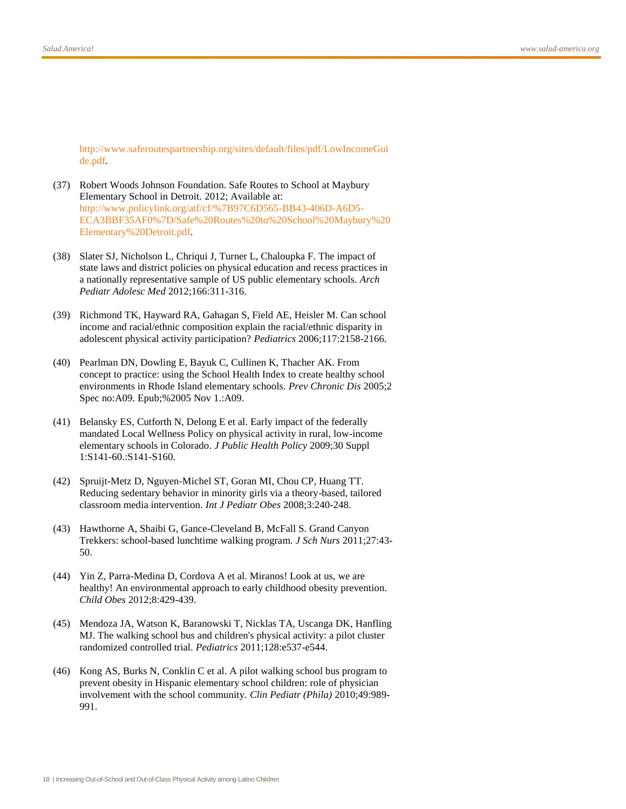[http://www.saferoutespartnership.org/sites/default/files/pdf/LowIncomeGui](http://www.saferoutespartnership.org/sites/default/files/pdf/LowIncomeGuide.pdf) [de.pdf.](http://www.saferoutespartnership.org/sites/default/files/pdf/LowIncomeGuide.pdf)

- (37) Robert Woods Johnson Foundation. Safe Routes to School at Maybury Elementary School in Detroit. 2012; Available at: [http://www.policylink.org/atf/cf/%7B97C6D565-BB43-406D-A6D5-](http://www.policylink.org/atf/cf/%7B97C6D565-BB43-406D-A6D5-ECA3BBF35AF0%7D/Safe%20Routes%20to%20School%20Maybury%20Elementary%20Detroit.pdf) [ECA3BBF35AF0%7D/Safe%20Routes%20to%20School%20Maybury%20](http://www.policylink.org/atf/cf/%7B97C6D565-BB43-406D-A6D5-ECA3BBF35AF0%7D/Safe%20Routes%20to%20School%20Maybury%20Elementary%20Detroit.pdf) [Elementary%20Detroit.pdf.](http://www.policylink.org/atf/cf/%7B97C6D565-BB43-406D-A6D5-ECA3BBF35AF0%7D/Safe%20Routes%20to%20School%20Maybury%20Elementary%20Detroit.pdf)
- (38) Slater SJ, Nicholson L, Chriqui J, Turner L, Chaloupka F. The impact of state laws and district policies on physical education and recess practices in a nationally representative sample of US public elementary schools. *Arch Pediatr Adolesc Med* 2012;166:311-316.
- (39) Richmond TK, Hayward RA, Gahagan S, Field AE, Heisler M. Can school income and racial/ethnic composition explain the racial/ethnic disparity in adolescent physical activity participation? *Pediatrics* 2006;117:2158-2166.
- (40) Pearlman DN, Dowling E, Bayuk C, Cullinen K, Thacher AK. From concept to practice: using the School Health Index to create healthy school environments in Rhode Island elementary schools. *Prev Chronic Dis* 2005;2 Spec no:A09. Epub;%2005 Nov 1.:A09.
- (41) Belansky ES, Cutforth N, Delong E et al. Early impact of the federally mandated Local Wellness Policy on physical activity in rural, low-income elementary schools in Colorado. *J Public Health Policy* 2009;30 Suppl 1:S141-60.:S141-S160.
- (42) Spruijt-Metz D, Nguyen-Michel ST, Goran MI, Chou CP, Huang TT. Reducing sedentary behavior in minority girls via a theory-based, tailored classroom media intervention. *Int J Pediatr Obes* 2008;3:240-248.
- (43) Hawthorne A, Shaibi G, Gance-Cleveland B, McFall S. Grand Canyon Trekkers: school-based lunchtime walking program. *J Sch Nurs* 2011;27:43- 50.
- (44) Yin Z, Parra-Medina D, Cordova A et al. Miranos! Look at us, we are healthy! An environmental approach to early childhood obesity prevention. *Child Obes* 2012;8:429-439.
- (45) Mendoza JA, Watson K, Baranowski T, Nicklas TA, Uscanga DK, Hanfling MJ. The walking school bus and children's physical activity: a pilot cluster randomized controlled trial. *Pediatrics* 2011;128:e537-e544.
- (46) Kong AS, Burks N, Conklin C et al. A pilot walking school bus program to prevent obesity in Hispanic elementary school children: role of physician involvement with the school community. *Clin Pediatr (Phila)* 2010;49:989- 991.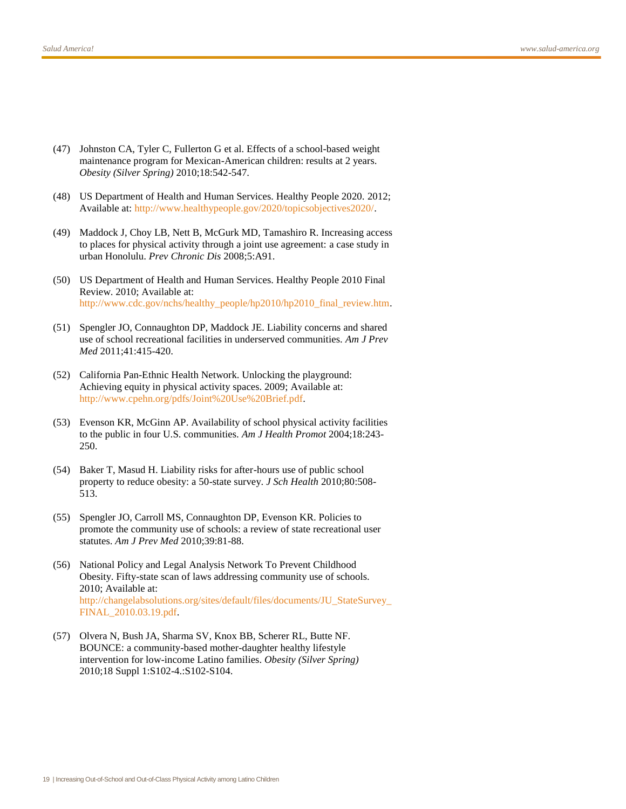- (47) Johnston CA, Tyler C, Fullerton G et al. Effects of a school-based weight maintenance program for Mexican-American children: results at 2 years. *Obesity (Silver Spring)* 2010;18:542-547.
- (48) US Department of Health and Human Services. Healthy People 2020. 2012; Available at[: http://www.healthypeople.gov/2020/topicsobjectives2020/.](http://www.healthypeople.gov/2020/topicsobjectives2020/)
- (49) Maddock J, Choy LB, Nett B, McGurk MD, Tamashiro R. Increasing access to places for physical activity through a joint use agreement: a case study in urban Honolulu. *Prev Chronic Dis* 2008;5:A91.
- (50) US Department of Health and Human Services. Healthy People 2010 Final Review. 2010; Available at: [http://www.cdc.gov/nchs/healthy\\_people/hp2010/hp2010\\_final\\_review.htm.](http://www.cdc.gov/nchs/healthy_people/hp2010/hp2010_final_review.htm)
- (51) Spengler JO, Connaughton DP, Maddock JE. Liability concerns and shared use of school recreational facilities in underserved communities. *Am J Prev Med* 2011;41:415-420.
- (52) California Pan-Ethnic Health Network. Unlocking the playground: Achieving equity in physical activity spaces. 2009; Available at: [http://www.cpehn.org/pdfs/Joint%20Use%20Brief.pdf.](http://www.cpehn.org/pdfs/Joint%20Use%20Brief.pdf)
- (53) Evenson KR, McGinn AP. Availability of school physical activity facilities to the public in four U.S. communities. *Am J Health Promot* 2004;18:243- 250.
- (54) Baker T, Masud H. Liability risks for after-hours use of public school property to reduce obesity: a 50-state survey. *J Sch Health* 2010;80:508- 513.
- (55) Spengler JO, Carroll MS, Connaughton DP, Evenson KR. Policies to promote the community use of schools: a review of state recreational user statutes. *Am J Prev Med* 2010;39:81-88.
- (56) National Policy and Legal Analysis Network To Prevent Childhood Obesity. Fifty-state scan of laws addressing community use of schools. 2010; Available at: [http://changelabsolutions.org/sites/default/files/documents/JU\\_StateSurvey\\_](http://changelabsolutions.org/sites/default/files/documents/JU_StateSurvey_FINAL_2010.03.19.pdf) [FINAL\\_2010.03.19.pdf.](http://changelabsolutions.org/sites/default/files/documents/JU_StateSurvey_FINAL_2010.03.19.pdf)
- (57) Olvera N, Bush JA, Sharma SV, Knox BB, Scherer RL, Butte NF. BOUNCE: a community-based mother-daughter healthy lifestyle intervention for low-income Latino families. *Obesity (Silver Spring)* 2010;18 Suppl 1:S102-4.:S102-S104.